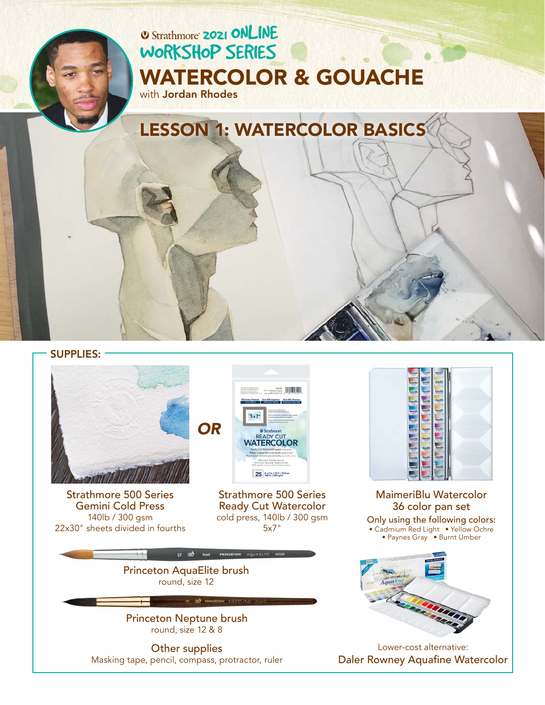# **2021 ONLINE** [WORKSHOP SERIES](https://www.strathmoreartiststudio.com/) [WATERCOLOR & GOUACHE](https://www.strathmoreartiststudio.com/2021-workshop-1-videos/)

with Jordan Rhodes

LESSON 1: WATERCOLOR BASICS

#### SUPPLIES:



[Strathmore 500 Series](https://www.strathmoreartist.com/paint-watercolor/id-500-series-gemini-watercolor.html)  Gemini Cold Press 140lb / 300 gsm 22x30" sheets divided in fourths



[Strathmore 500 Series](https://www.strathmoreartist.com/paint-watercolor/id-500-series-ready-cut-watercolor.html)  Ready Cut Watercolor cold press, 140lb / 300 gsm 5x7"



[Princeton Neptune brush](https://www.princetonbrush.com/neptune-series-4750-princeton-brush-company-brush-4750/)  round, size 12 & 8

Other supplies Masking tape, pencil, compass, protractor, ruler



[MaimeriBlu Watercolor](https://www.maimeri.it/en/products/watercolour/maimeri-blu.html) 36 color pan set Only using the following colors: • Cadmium Red Light • Yellow Ochre • Paynes Gray • Burnt Umber



Lower-cost alternative: [Daler Rowney Aquafine Watercolor](https://www.daler-rowney.com/aquafine-watercolour-art-supplies/)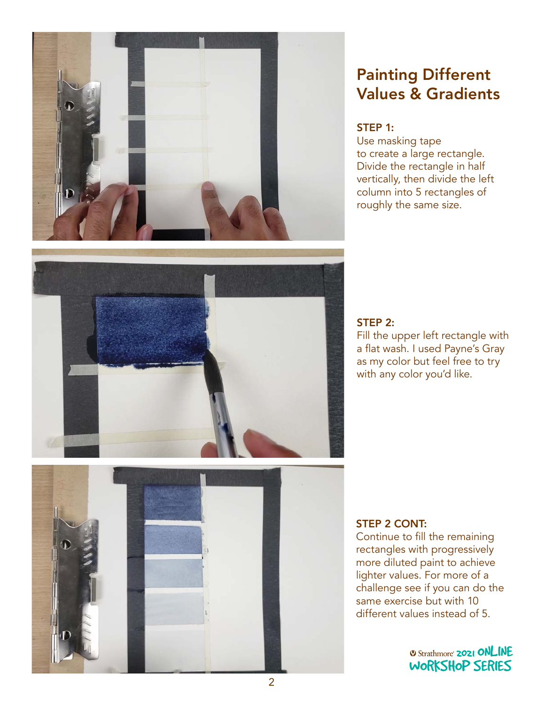

# Painting Different Values & Gradients

#### STEP 1:

Use masking tape to create a large rectangle. Divide the rectangle in half vertically, then divide the left column into 5 rectangles of roughly the same size.



#### STEP 2:

Fill the upper left rectangle with a flat wash. I used Payne's Gray as my color but feel free to try with any color you'd like.



#### STEP 2 CONT:

Continue to fill the remaining rectangles with progressively more diluted paint to achieve lighter values. For more of a challenge see if you can do the<br>same exercise but with 10 same exercise but with 10 same exercise but with 10<br>different values instead of 5.

> **2021 ONLINE** [WORKSHOP SERIES](https://www.strathmoreartiststudio.com/)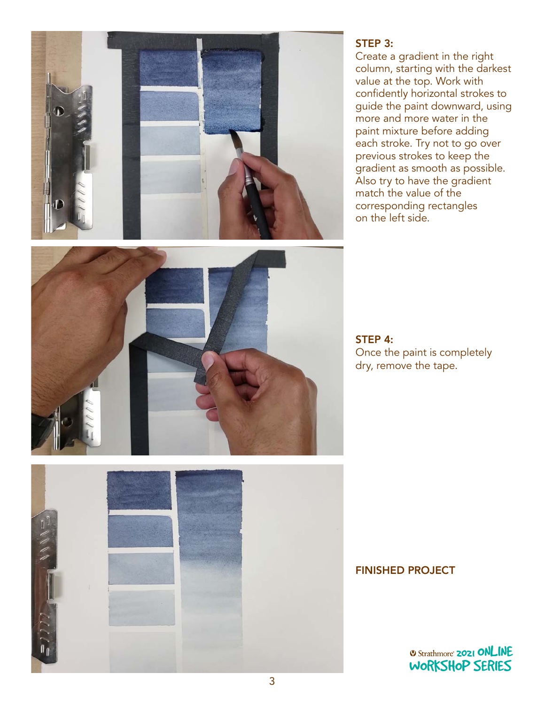

#### STEP 3:

Create a gradient in the right column, starting with the darkest value at the top. Work with confidently horizontal strokes to guide the paint downward, using more and more water in the paint mixture before adding each stroke. Try not to go over previous strokes to keep the gradient as smooth as possible. Also try to have the gradient match the value of the corresponding rectangles on the left side.



STEP 4: Once the paint is completely dry, remove the tape.



FINISHED PROJECT

*O Strathmore* **2021 ONLINE** [WORKSHOP SERIES](https://www.strathmoreartiststudio.com/)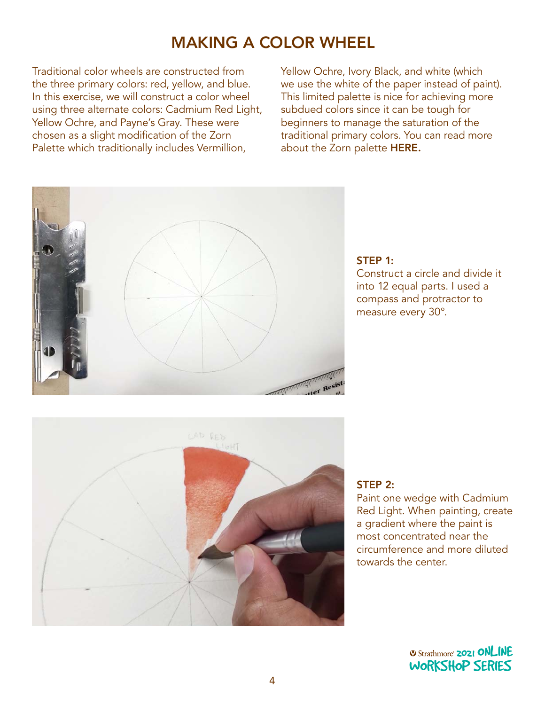# MAKING A COLOR WHEEL

Traditional color wheels are constructed from the three primary colors: red, yellow, and blue. In this exercise, we will construct a color wheel using three alternate colors: Cadmium Red Light, Yellow Ochre, and Payne's Gray. These were chosen as a slight modification of the Zorn Palette which traditionally includes Vermillion,

Yellow Ochre, Ivory Black, and white (which we use the white of the paper instead of paint). This limited palette is nice for achieving more subdued colors since it can be tough for beginners to manage the saturation of the traditional primary colors. You can read more about the Zorn palette [HERE.](https://drawpaintacademy.com/zorn-palette/#:~:text=The%20Zorn%20palette%20refers%20to,vermilion%20by%20modern%20day%20artists)



### STEP 1:

Construct a circle and divide it into 12 equal parts. I used a compass and protractor to measure every 30°.



#### STEP 2:

Paint one wedge with Cadmium Red Light. When painting, create a gradient where the paint is most concentrated near the circumference and more diluted towards the center.

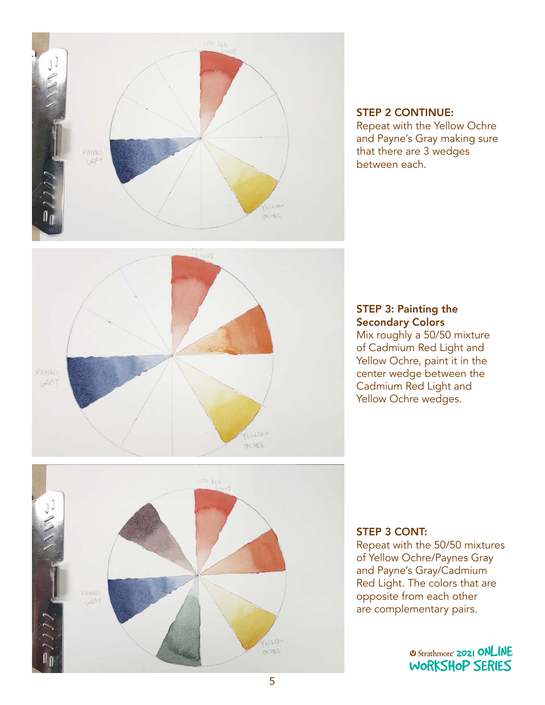

### STEP 2 CONTINUE:

Repeat with the Yellow Ochre and Payne's Gray making sure that there are 3 wedges between each.



#### STEP 3: Painting the Secondary Colors

Mix roughly a 50/50 mixture of Cadmium Red Light and Yellow Ochre, paint it in the center wedge between the Cadmium Red Light and Yellow Ochre wedges.



#### STEP 3 CONT:

Repeat with the 50/50 mixtures of Yellow Ochre/Paynes Gray and Payne's Gray/Cadmium Red Light. The colors that are ned Light. The colors that are<br>opposite from each other opposite nom each other<br>are complementary pairs.

> *Q Strathmore* **2021 ONLINE** [WORKSHOP SERIES](https://www.strathmoreartiststudio.com/)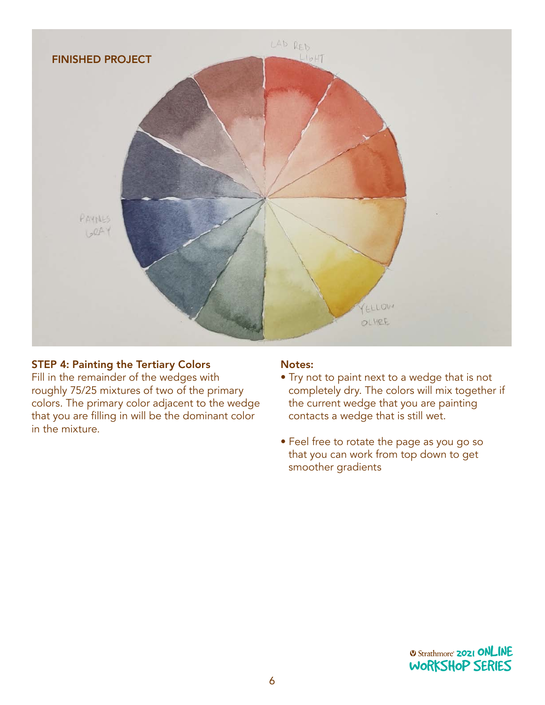

#### STEP 4: Painting the Tertiary Colors

Fill in the remainder of the wedges with roughly 75/25 mixtures of two of the primary colors. The primary color adjacent to the wedge that you are filling in will be the dominant color in the mixture.

#### Notes:

- Try not to paint next to a wedge that is not completely dry. The colors will mix together if the current wedge that you are painting contacts a wedge that is still wet.
- Feel free to rotate the page as you go so that you can work from top down to get smoother gradients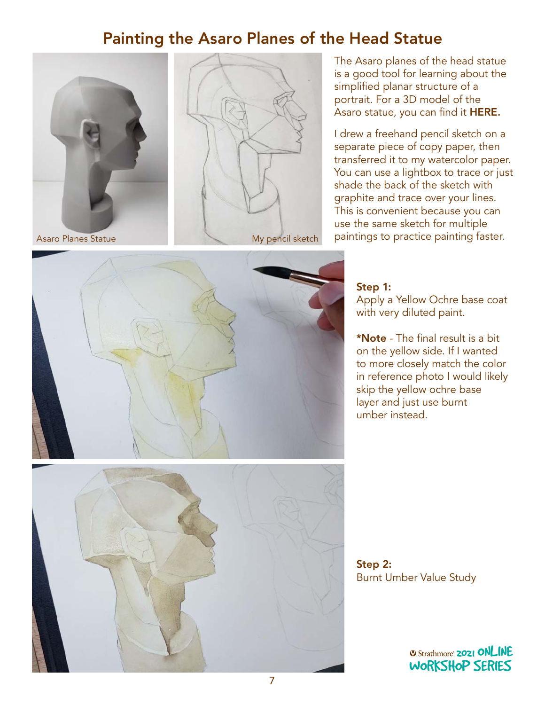## Painting the Asaro Planes of the Head Statue





The Asaro planes of the head statue is a good tool for learning about the simplified planar structure of a portrait. For a 3D model of the Asaro statue, you can find it [HERE.](https://sketchfab.com/3d-models/asaro-head-9d26548182f8465a8e97371a9170561e)

I drew a freehand pencil sketch on a separate piece of copy paper, then transferred it to my watercolor paper. You can use a lightbox to trace or just shade the back of the sketch with graphite and trace over your lines. This is convenient because you can use the same sketch for multiple paintings to practice painting faster.



### Step 1:

Apply a Yellow Ochre base coat with very diluted paint.

\*Note - The final result is a bit on the yellow side. If I wanted to more closely match the color in reference photo I would likely skip the yellow ochre base layer and just use burnt umber instead.

Step 2: Burnt Umber Value Study

> **2021 ONLINE** [WORKSHOP SERIES](https://www.strathmoreartiststudio.com/)